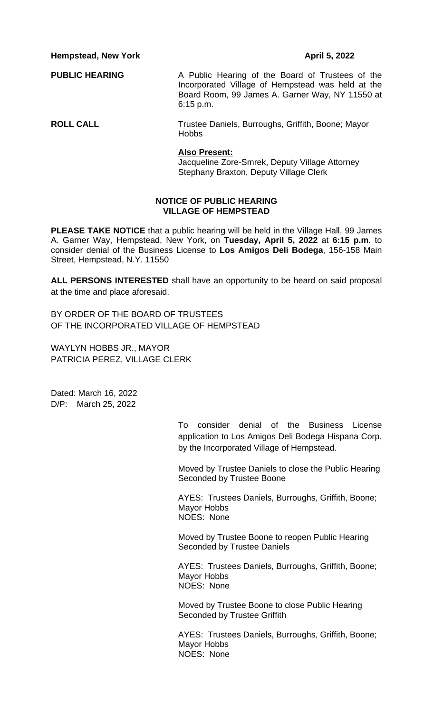**Hempstead, New York April 5, 2022** 

**PUBLIC HEARING** A Public Hearing of the Board of Trustees of the Incorporated Village of Hempstead was held at the Board Room, 99 James A. Garner Way, NY 11550 at 6:15 p.m.

**ROLL CALL** Trustee Daniels, Burroughs, Griffith, Boone; Mayor Hobbs

#### **Also Present:**

Jacqueline Zore-Smrek, Deputy Village Attorney Stephany Braxton, Deputy Village Clerk

#### **NOTICE OF PUBLIC HEARING VILLAGE OF HEMPSTEAD**

**PLEASE TAKE NOTICE** that a public hearing will be held in the Village Hall, 99 James A. Garner Way, Hempstead, New York, on **Tuesday, April 5, 2022** at **6:15 p.m**. to consider denial of the Business License to **Los Amigos Deli Bodega**, 156-158 Main Street, Hempstead, N.Y. 11550

**ALL PERSONS INTERESTED** shall have an opportunity to be heard on said proposal at the time and place aforesaid.

BY ORDER OF THE BOARD OF TRUSTEES OF THE INCORPORATED VILLAGE OF HEMPSTEAD

WAYLYN HOBBS JR., MAYOR PATRICIA PEREZ, VILLAGE CLERK

Dated: March 16, 2022 D/P: March 25, 2022

> To consider denial of the Business License application to Los Amigos Deli Bodega Hispana Corp. by the Incorporated Village of Hempstead.

> Moved by Trustee Daniels to close the Public Hearing Seconded by Trustee Boone

AYES: Trustees Daniels, Burroughs, Griffith, Boone; Mayor Hobbs NOES: None

Moved by Trustee Boone to reopen Public Hearing Seconded by Trustee Daniels

AYES: Trustees Daniels, Burroughs, Griffith, Boone; Mayor Hobbs NOES: None

Moved by Trustee Boone to close Public Hearing Seconded by Trustee Griffith

AYES: Trustees Daniels, Burroughs, Griffith, Boone; Mayor Hobbs NOES: None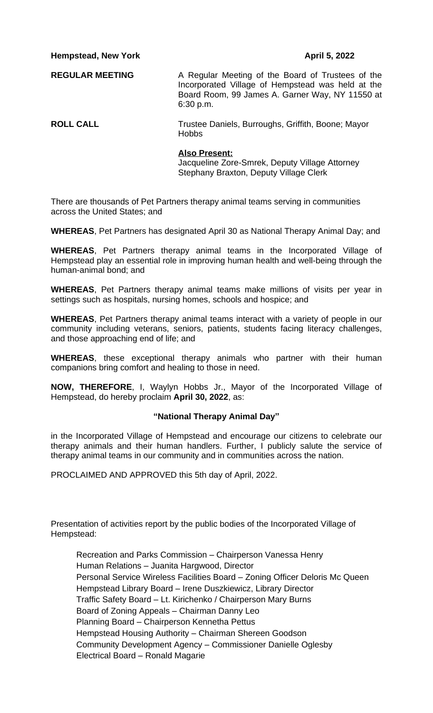**Hempstead, New York April 5, 2022** 

**REGULAR MEETING** A Regular Meeting of the Board of Trustees of the Incorporated Village of Hempstead was held at the Board Room, 99 James A. Garner Way, NY 11550 at 6:30 p.m.

**ROLL CALL** Trustee Daniels, Burroughs, Griffith, Boone; Mayor **Hobbs** 

#### **Also Present:**

Jacqueline Zore-Smrek, Deputy Village Attorney Stephany Braxton, Deputy Village Clerk

There are thousands of Pet Partners therapy animal teams serving in communities across the United States; and

**WHEREAS**, Pet Partners has designated April 30 as National Therapy Animal Day; and

**WHEREAS**, Pet Partners therapy animal teams in the Incorporated Village of Hempstead play an essential role in improving human health and well-being through the human-animal bond; and

**WHEREAS**, Pet Partners therapy animal teams make millions of visits per year in settings such as hospitals, nursing homes, schools and hospice; and

**WHEREAS**, Pet Partners therapy animal teams interact with a variety of people in our community including veterans, seniors, patients, students facing literacy challenges, and those approaching end of life; and

**WHEREAS**, these exceptional therapy animals who partner with their human companions bring comfort and healing to those in need.

**NOW, THEREFORE**, I, Waylyn Hobbs Jr., Mayor of the Incorporated Village of Hempstead, do hereby proclaim **April 30, 2022**, as:

#### **"National Therapy Animal Day"**

in the Incorporated Village of Hempstead and encourage our citizens to celebrate our therapy animals and their human handlers. Further, I publicly salute the service of therapy animal teams in our community and in communities across the nation.

PROCLAIMED AND APPROVED this 5th day of April, 2022.

Presentation of activities report by the public bodies of the Incorporated Village of Hempstead:

Recreation and Parks Commission – Chairperson Vanessa Henry Human Relations – Juanita Hargwood, Director Personal Service Wireless Facilities Board – Zoning Officer Deloris Mc Queen Hempstead Library Board – Irene Duszkiewicz, Library Director Traffic Safety Board – Lt. Kirichenko / Chairperson Mary Burns Board of Zoning Appeals – Chairman Danny Leo Planning Board – Chairperson Kennetha Pettus Hempstead Housing Authority – Chairman Shereen Goodson Community Development Agency – Commissioner Danielle Oglesby Electrical Board – Ronald Magarie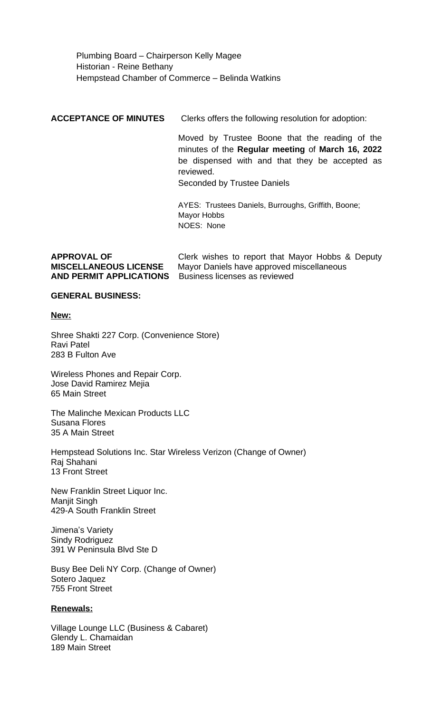Plumbing Board – Chairperson Kelly Magee Historian - Reine Bethany Hempstead Chamber of Commerce – Belinda Watkins

**ACCEPTANCE OF MINUTES** Clerks offers the following resolution for adoption:

Moved by Trustee Boone that the reading of the minutes of the **Regular meeting** of **March 16, 2022** be dispensed with and that they be accepted as reviewed.

Seconded by Trustee Daniels

AYES: Trustees Daniels, Burroughs, Griffith, Boone; Mayor Hobbs NOES: None

#### **APPROVAL OF** Clerk wishes to report that Mayor Hobbs & Deputy **MISCELLANEOUS LICENSE** Mayor Daniels have approved miscellaneous **AND PERMIT APPLICATIONS**

#### **GENERAL BUSINESS:**

**New:**

Shree Shakti 227 Corp. (Convenience Store) Ravi Patel 283 B Fulton Ave

Wireless Phones and Repair Corp. Jose David Ramirez Mejia 65 Main Street

The Malinche Mexican Products LLC Susana Flores 35 A Main Street

Hempstead Solutions Inc. Star Wireless Verizon (Change of Owner) Raj Shahani 13 Front Street

New Franklin Street Liquor Inc. Manjit Singh 429-A South Franklin Street

Jimena's Variety Sindy Rodriguez 391 W Peninsula Blvd Ste D

Busy Bee Deli NY Corp. (Change of Owner) Sotero Jaquez 755 Front Street

#### **Renewals:**

Village Lounge LLC (Business & Cabaret) Glendy L. Chamaidan 189 Main Street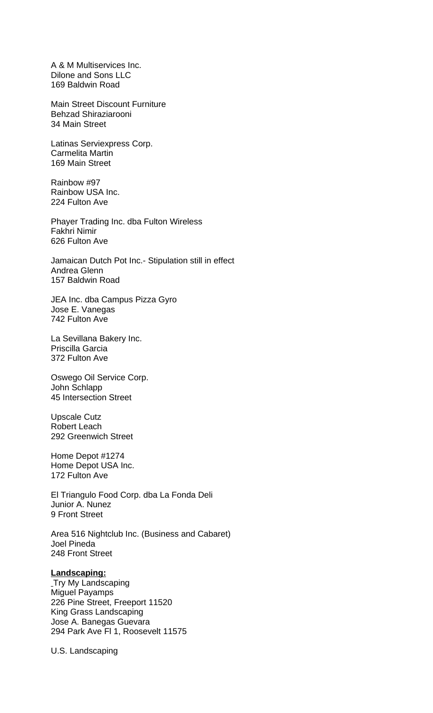A & M Multiservices Inc. Dilone and Sons LLC 169 Baldwin Road

Main Street Discount Furniture Behzad Shiraziarooni 34 Main Street

Latinas Serviexpress Corp. Carmelita Martin 169 Main Street

Rainbow #97 Rainbow USA Inc. 224 Fulton Ave

Phayer Trading Inc. dba Fulton Wireless Fakhri Nimir 626 Fulton Ave

Jamaican Dutch Pot Inc.- Stipulation still in effect Andrea Glenn 157 Baldwin Road

JEA Inc. dba Campus Pizza Gyro Jose E. Vanegas 742 Fulton Ave

La Sevillana Bakery Inc. Priscilla Garcia 372 Fulton Ave

Oswego Oil Service Corp. John Schlapp 45 Intersection Street

Upscale Cutz Robert Leach 292 Greenwich Street

Home Depot #1274 Home Depot USA Inc. 172 Fulton Ave

El Triangulo Food Corp. dba La Fonda Deli Junior A. Nunez 9 Front Street

Area 516 Nightclub Inc. (Business and Cabaret) Joel Pineda 248 Front Street

#### **Landscaping:**

Try My Landscaping Miguel Payamps 226 Pine Street, Freeport 11520 King Grass Landscaping Jose A. Banegas Guevara 294 Park Ave Fl 1, Roosevelt 11575

U.S. Landscaping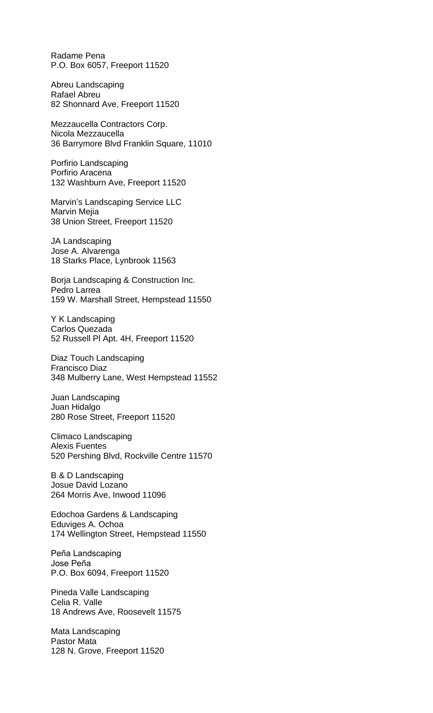Radame Pena P.O. Box 6057, Freeport 11520

Abreu Landscaping Rafael Abreu 82 Shonnard Ave, Freeport 11520

Mezzaucella Contractors Corp. Nicola Mezzaucella 36 Barrymore Blvd Franklin Square, 11010

Porfirio Landscaping Porfirio Aracena 132 Washburn Ave, Freeport 11520

Marvin's Landscaping Service LLC Marvin Mejia 38 Union Street, Freeport 11520

JA Landscaping Jose A. Alvarenga 18 Starks Place, Lynbrook 11563

Borja Landscaping & Construction Inc. Pedro Larrea 159 W. Marshall Street, Hempstead 11550

Y K Landscaping Carlos Quezada 52 Russell Pl Apt. 4H, Freeport 11520

Diaz Touch Landscaping Francisco Diaz 348 Mulberry Lane, West Hempstead 11552

Juan Landscaping Juan Hidalgo 280 Rose Street, Freeport 11520

Climaco Landscaping Alexis Fuentes 520 Pershing Blvd, Rockville Centre 11570

B & D Landscaping Josue David Lozano 264 Morris Ave, Inwood 11096

Edochoa Gardens & Landscaping Eduviges A. Ochoa 174 Wellington Street, Hempstead 11550

Peña Landscaping Jose Peña P.O. Box 6094, Freeport 11520

Pineda Valle Landscaping Celia R. Valle 18 Andrews Ave, Roosevelt 11575

Mata Landscaping Pastor Mata 128 N. Grove, Freeport 11520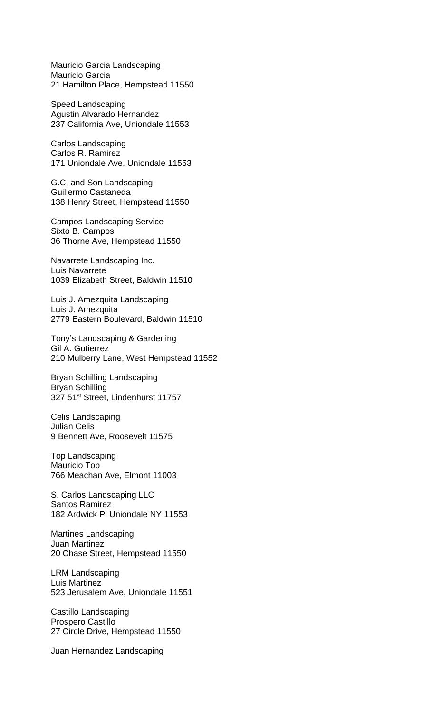Mauricio Garcia Landscaping Mauricio Garcia 21 Hamilton Place, Hempstead 11550

Speed Landscaping Agustin Alvarado Hernandez 237 California Ave, Uniondale 11553

Carlos Landscaping Carlos R. Ramirez 171 Uniondale Ave, Uniondale 11553

G.C, and Son Landscaping Guillermo Castaneda 138 Henry Street, Hempstead 11550

Campos Landscaping Service Sixto B. Campos 36 Thorne Ave, Hempstead 11550

Navarrete Landscaping Inc. Luis Navarrete 1039 Elizabeth Street, Baldwin 11510

Luis J. Amezquita Landscaping Luis J. Amezquita 2779 Eastern Boulevard, Baldwin 11510

Tony's Landscaping & Gardening Gil A. Gutierrez 210 Mulberry Lane, West Hempstead 11552

Bryan Schilling Landscaping Bryan Schilling 327 51<sup>st</sup> Street, Lindenhurst 11757

Celis Landscaping Julian Celis 9 Bennett Ave, Roosevelt 11575

Top Landscaping Mauricio Top 766 Meachan Ave, Elmont 11003

S. Carlos Landscaping LLC Santos Ramirez 182 Ardwick Pl Uniondale NY 11553

Martines Landscaping Juan Martinez 20 Chase Street, Hempstead 11550

LRM Landscaping Luis Martinez 523 Jerusalem Ave, Uniondale 11551

Castillo Landscaping Prospero Castillo 27 Circle Drive, Hempstead 11550

Juan Hernandez Landscaping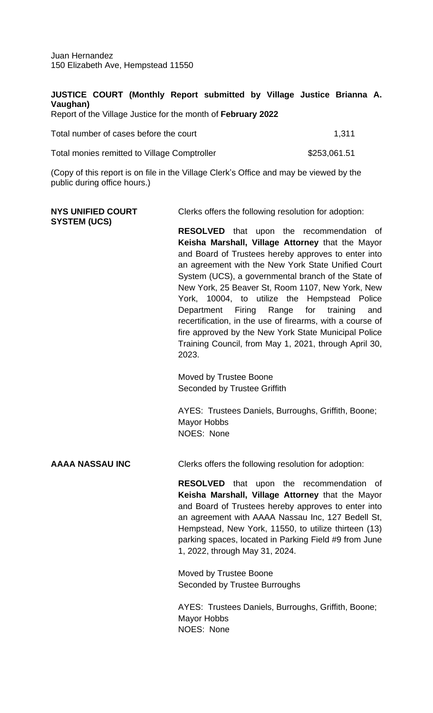Juan Hernandez 150 Elizabeth Ave, Hempstead 11550

### **JUSTICE COURT (Monthly Report submitted by Village Justice Brianna A. Vaughan)**

Report of the Village Justice for the month of **February 2022**

| Total number of cases before the court       | 1.311        |
|----------------------------------------------|--------------|
| Total monies remitted to Village Comptroller | \$253,061.51 |

(Copy of this report is on file in the Village Clerk's Office and may be viewed by the public during office hours.)

| <b>NYS UNIFIED COURT</b><br><b>SYSTEM (UCS)</b> | Clerks offers the following resolution for adoption:                                                                                                                                                                                                                                                                                                                                                                                                                                                                                                                                                                          |  |
|-------------------------------------------------|-------------------------------------------------------------------------------------------------------------------------------------------------------------------------------------------------------------------------------------------------------------------------------------------------------------------------------------------------------------------------------------------------------------------------------------------------------------------------------------------------------------------------------------------------------------------------------------------------------------------------------|--|
|                                                 | <b>RESOLVED</b> that upon the recommendation of<br>Keisha Marshall, Village Attorney that the Mayor<br>and Board of Trustees hereby approves to enter into<br>an agreement with the New York State Unified Court<br>System (UCS), a governmental branch of the State of<br>New York, 25 Beaver St, Room 1107, New York, New<br>York, 10004, to utilize the Hempstead Police<br>Firing<br>Range<br>training<br>Department<br>for<br>and<br>recertification, in the use of firearms, with a course of<br>fire approved by the New York State Municipal Police<br>Training Council, from May 1, 2021, through April 30,<br>2023. |  |
|                                                 | Moved by Trustee Boone<br>Seconded by Trustee Griffith                                                                                                                                                                                                                                                                                                                                                                                                                                                                                                                                                                        |  |
|                                                 | AYES: Trustees Daniels, Burroughs, Griffith, Boone;<br><b>Mayor Hobbs</b><br>NOES: None                                                                                                                                                                                                                                                                                                                                                                                                                                                                                                                                       |  |
| <b>AAAA NASSAU INC</b>                          | Clerks offers the following resolution for adoption:                                                                                                                                                                                                                                                                                                                                                                                                                                                                                                                                                                          |  |
|                                                 | <b>RESOLVED</b> that upon the recommendation of<br>Keisha Marshall, Village Attorney that the Mayor<br>and Board of Trustees hereby approves to enter into<br>an agreement with AAAA Nassau Inc, 127 Bedell St,<br>Hempstead, New York, 11550, to utilize thirteen (13)<br>parking spaces, located in Parking Field #9 from June<br>1, 2022, through May 31, 2024.                                                                                                                                                                                                                                                            |  |
|                                                 | Moved by Trustee Boone<br>Seconded by Trustee Burroughs                                                                                                                                                                                                                                                                                                                                                                                                                                                                                                                                                                       |  |

AYES: Trustees Daniels, Burroughs, Griffith, Boone; Mayor Hobbs NOES: None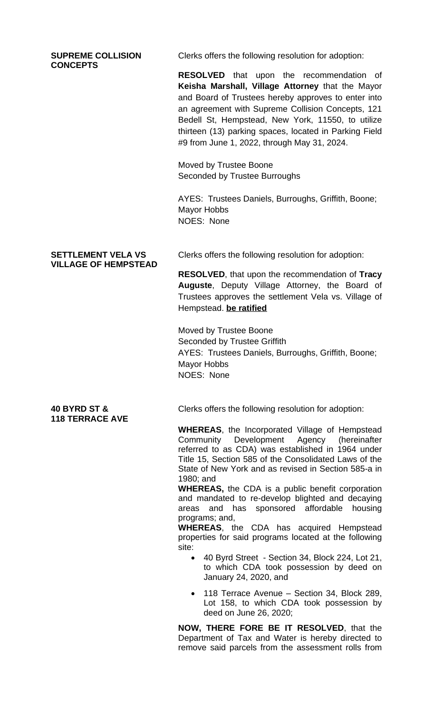**CONCEPTS**

**SUPREME COLLISION** Clerks offers the following resolution for adoption:

**RESOLVED** that upon the recommendation of **Keisha Marshall, Village Attorney** that the Mayor and Board of Trustees hereby approves to enter into an agreement with Supreme Collision Concepts, 121 Bedell St, Hempstead, New York, 11550, to utilize thirteen (13) parking spaces, located in Parking Field #9 from June 1, 2022, through May 31, 2024.

Moved by Trustee Boone Seconded by Trustee Burroughs

AYES: Trustees Daniels, Burroughs, Griffith, Boone; Mayor Hobbs NOES: None

## **VILLAGE OF HEMPSTEAD**

**SETTLEMENT VELA VS** Clerks offers the following resolution for adoption:

**RESOLVED**, that upon the recommendation of **Tracy Auguste**, Deputy Village Attorney, the Board of Trustees approves the settlement Vela vs. Village of Hempstead. **be ratified**

Moved by Trustee Boone Seconded by Trustee Griffith AYES: Trustees Daniels, Burroughs, Griffith, Boone; Mayor Hobbs NOES: None

## **118 TERRACE AVE**

**40 BYRD ST &** Clerks offers the following resolution for adoption:

**WHEREAS**, the Incorporated Village of Hempstead Community Development Agency (hereinafter referred to as CDA) was established in 1964 under Title 15, Section 585 of the Consolidated Laws of the State of New York and as revised in Section 585-a in 1980; and

**WHEREAS,** the CDA is a public benefit corporation and mandated to re-develop blighted and decaying areas and has sponsored affordable housing programs; and,

**WHEREAS**, the CDA has acquired Hempstead properties for said programs located at the following site:

- 40 Byrd Street Section 34, Block 224, Lot 21, to which CDA took possession by deed on January 24, 2020, and
- 118 Terrace Avenue Section 34, Block 289, Lot 158, to which CDA took possession by deed on June 26, 2020;

**NOW, THERE FORE BE IT RESOLVED**, that the Department of Tax and Water is hereby directed to remove said parcels from the assessment rolls from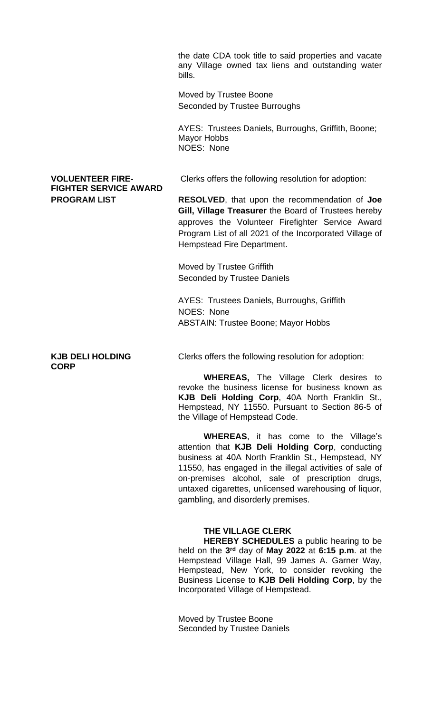the date CDA took title to said properties and vacate any Village owned tax liens and outstanding water bills.

Moved by Trustee Boone Seconded by Trustee Burroughs

AYES: Trustees Daniels, Burroughs, Griffith, Boone; Mayor Hobbs NOES: None

# **FIGHTER SERVICE AWARD**

**VOLUENTEER FIRE-** Clerks offers the following resolution for adoption:

**PROGRAM LIST RESOLVED**, that upon the recommendation of **Joe Gill, Village Treasurer** the Board of Trustees hereby approves the Volunteer Firefighter Service Award Program List of all 2021 of the Incorporated Village of Hempstead Fire Department.

> Moved by Trustee Griffith Seconded by Trustee Daniels

AYES: Trustees Daniels, Burroughs, Griffith NOES: None ABSTAIN: Trustee Boone; Mayor Hobbs

**CORP**

**KJB DELI HOLDING** Clerks offers the following resolution for adoption:

**WHEREAS,** The Village Clerk desires to revoke the business license for business known as **KJB Deli Holding Corp**, 40A North Franklin St., Hempstead, NY 11550. Pursuant to Section 86-5 of the Village of Hempstead Code.

**WHEREAS**, it has come to the Village's attention that **KJB Deli Holding Corp**, conducting business at 40A North Franklin St., Hempstead, NY 11550, has engaged in the illegal activities of sale of on-premises alcohol, sale of prescription drugs, untaxed cigarettes, unlicensed warehousing of liquor, gambling, and disorderly premises.

#### **THE VILLAGE CLERK**

**HEREBY SCHEDULES** a public hearing to be held on the **3 rd** day of **May 2022** at **6:15 p.m**. at the Hempstead Village Hall, 99 James A. Garner Way, Hempstead, New York, to consider revoking the Business License to **KJB Deli Holding Corp**, by the Incorporated Village of Hempstead.

Moved by Trustee Boone Seconded by Trustee Daniels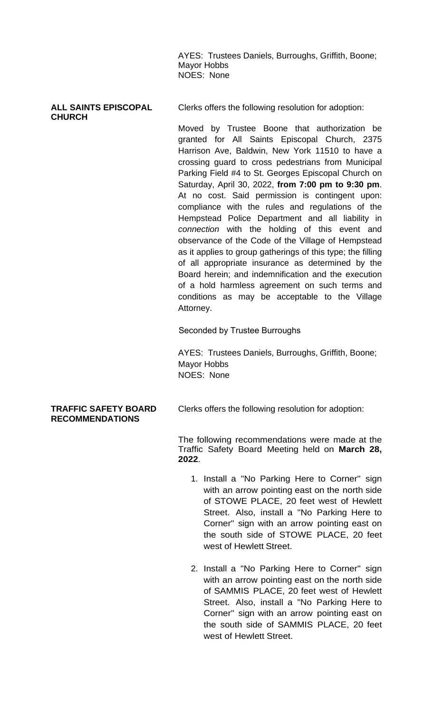AYES: Trustees Daniels, Burroughs, Griffith, Boone; Mayor Hobbs NOES: None

**CHURCH**

**ALL SAINTS EPISCOPAL** Clerks offers the following resolution for adoption:

Moved by Trustee Boone that authorization be granted for All Saints Episcopal Church, 2375 Harrison Ave, Baldwin, New York 11510 to have a crossing guard to cross pedestrians from Municipal Parking Field #4 to St. Georges Episcopal Church on Saturday, April 30, 2022, **from 7:00 pm to 9:30 pm**. At no cost. Said permission is contingent upon: compliance with the rules and regulations of the Hempstead Police Department and all liability in *connection* with the holding of this event and observance of the Code of the Village of Hempstead as it applies to group gatherings of this type; the filling of all appropriate insurance as determined by the Board herein; and indemnification and the execution of a hold harmless agreement on such terms and conditions as may be acceptable to the Village Attorney.

Seconded by Trustee Burroughs

AYES: Trustees Daniels, Burroughs, Griffith, Boone; Mayor Hobbs NOES: None

## **RECOMMENDATIONS**

**TRAFFIC SAFETY BOARD** Clerks offers the following resolution for adoption:

The following recommendations were made at the Traffic Safety Board Meeting held on **March 28, 2022**.

- 1. Install a "No Parking Here to Corner" sign with an arrow pointing east on the north side of STOWE PLACE, 20 feet west of Hewlett Street. Also, install a "No Parking Here to Corner" sign with an arrow pointing east on the south side of STOWE PLACE, 20 feet west of Hewlett Street.
- 2. Install a "No Parking Here to Corner'' sign with an arrow pointing east on the north side of SAMMIS PLACE, 20 feet west of Hewlett Street. Also, install a "No Parking Here to Corner'' sign with an arrow pointing east on the south side of SAMMIS PLACE, 20 feet west of Hewlett Street.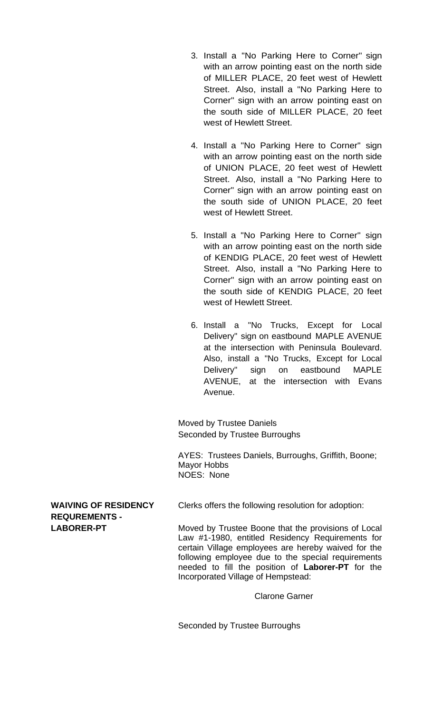- 3. Install a "No Parking Here to Corner'' sign with an arrow pointing east on the north side of MILLER PLACE, 20 feet west of Hewlett Street. Also, install a "No Parking Here to Corner'' sign with an arrow pointing east on the south side of MILLER PLACE, 20 feet west of Hewlett Street.
- 4. Install a "No Parking Here to Corner" sign with an arrow pointing east on the north side of UNION PLACE, 20 feet west of Hewlett Street. Also, install a "No Parking Here to Corner'' sign with an arrow pointing east on the south side of UNION PLACE, 20 feet west of Hewlett Street.
- 5. Install a "No Parking Here to Corner'' sign with an arrow pointing east on the north side of KENDIG PLACE, 20 feet west of Hewlett Street. Also, install a "No Parking Here to Corner" sign with an arrow pointing east on the south side of KENDIG PLACE, 20 feet west of Hewlett Street.
- 6. Install a "No Trucks, Except for Local Delivery" sign on eastbound MAPLE AVENUE at the intersection with Peninsula Boulevard. Also, install a "No Trucks, Except for Local Delivery" sign on eastbound MAPLE AVENUE, at the intersection with Evans Avenue.

Moved by Trustee Daniels Seconded by Trustee Burroughs

AYES: Trustees Daniels, Burroughs, Griffith, Boone; Mayor Hobbs NOES: None

**REQUREMENTS -**

**WAIVING OF RESIDENCY** Clerks offers the following resolution for adoption:

**LABORER-PT** Moved by Trustee Boone that the provisions of Local Law #1-1980, entitled Residency Requirements for certain Village employees are hereby waived for the following employee due to the special requirements needed to fill the position of **Laborer-PT** for the Incorporated Village of Hempstead:

Clarone Garner

Seconded by Trustee Burroughs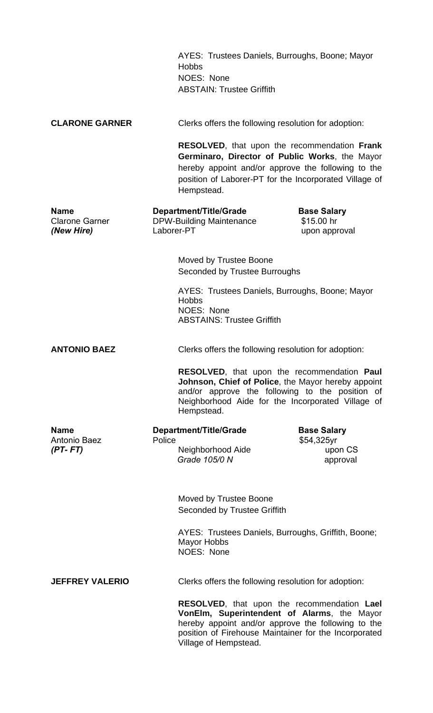|                                                    | AYES: Trustees Daniels, Burroughs, Boone; Mayor<br><b>Hobbs</b><br>NOES: None<br><b>ABSTAIN: Trustee Griffith</b>  |                                                                                                                                                                                                                                                                                 |  |  |
|----------------------------------------------------|--------------------------------------------------------------------------------------------------------------------|---------------------------------------------------------------------------------------------------------------------------------------------------------------------------------------------------------------------------------------------------------------------------------|--|--|
| <b>CLARONE GARNER</b>                              |                                                                                                                    | Clerks offers the following resolution for adoption:                                                                                                                                                                                                                            |  |  |
|                                                    | Hempstead.                                                                                                         | <b>RESOLVED, that upon the recommendation Frank</b><br>Germinaro, Director of Public Works, the Mayor<br>hereby appoint and/or approve the following to the<br>position of Laborer-PT for the Incorporated Village of                                                           |  |  |
| <b>Name</b><br><b>Clarone Garner</b><br>(New Hire) | <b>Department/Title/Grade</b><br><b>DPW-Building Maintenance</b><br>Laborer-PT                                     | <b>Base Salary</b><br>\$15.00 hr<br>upon approval                                                                                                                                                                                                                               |  |  |
|                                                    | Moved by Trustee Boone<br>Seconded by Trustee Burroughs                                                            |                                                                                                                                                                                                                                                                                 |  |  |
|                                                    | AYES: Trustees Daniels, Burroughs, Boone; Mayor<br><b>Hobbs</b><br>NOES: None<br><b>ABSTAINS: Trustee Griffith</b> |                                                                                                                                                                                                                                                                                 |  |  |
| <b>ANTONIO BAEZ</b>                                |                                                                                                                    | Clerks offers the following resolution for adoption:<br>RESOLVED, that upon the recommendation Paul<br>Johnson, Chief of Police, the Mayor hereby appoint<br>and/or approve the following to the position of<br>Neighborhood Aide for the Incorporated Village of<br>Hempstead. |  |  |
|                                                    |                                                                                                                    |                                                                                                                                                                                                                                                                                 |  |  |
| <b>Name</b><br>Antonio Baez                        | Department/Title/Grade<br>Police                                                                                   | <b>Base Salary</b><br>\$54,325yr                                                                                                                                                                                                                                                |  |  |
| $(PT - FT)$                                        | Neighborhood Aide<br>Grade 105/0 N                                                                                 | upon CS<br>approval                                                                                                                                                                                                                                                             |  |  |
|                                                    | Moved by Trustee Boone<br>Seconded by Trustee Griffith                                                             |                                                                                                                                                                                                                                                                                 |  |  |
|                                                    | <b>Mayor Hobbs</b><br><b>NOES: None</b>                                                                            | AYES: Trustees Daniels, Burroughs, Griffith, Boone;                                                                                                                                                                                                                             |  |  |
| <b>JEFFREY VALERIO</b>                             |                                                                                                                    | Clerks offers the following resolution for adoption:                                                                                                                                                                                                                            |  |  |
|                                                    | Village of Hempstead.                                                                                              | RESOLVED, that upon the recommendation Lael<br>VonElm, Superintendent of Alarms, the Mayor<br>hereby appoint and/or approve the following to the<br>position of Firehouse Maintainer for the Incorporated                                                                       |  |  |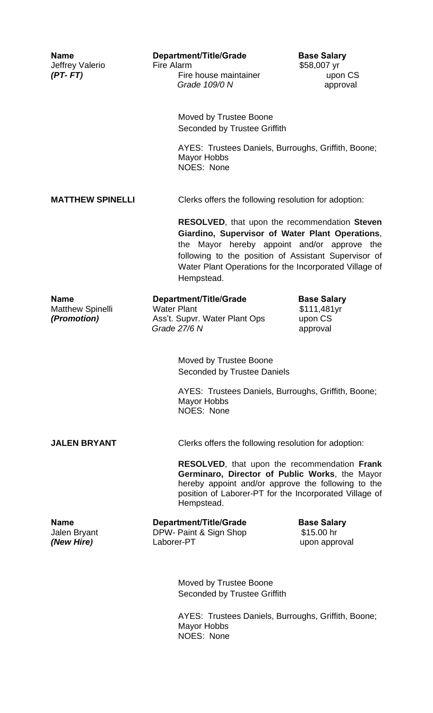| <b>Name</b><br>Jeffrey Valerio<br>$(PT - FT)$         | <b>Department/Title/Grade</b><br>Fire Alarm<br>Fire house maintainer<br>Grade 109/0 N                | <b>Base Salary</b><br>\$58,007 yr<br>upon CS<br>approval                                                                                                                                                                                                                 |  |
|-------------------------------------------------------|------------------------------------------------------------------------------------------------------|--------------------------------------------------------------------------------------------------------------------------------------------------------------------------------------------------------------------------------------------------------------------------|--|
|                                                       | Moved by Trustee Boone<br>Seconded by Trustee Griffith                                               |                                                                                                                                                                                                                                                                          |  |
|                                                       | Mayor Hobbs<br>NOES: None                                                                            | AYES: Trustees Daniels, Burroughs, Griffith, Boone;                                                                                                                                                                                                                      |  |
| <b>MATTHEW SPINELLI</b>                               |                                                                                                      | Clerks offers the following resolution for adoption:                                                                                                                                                                                                                     |  |
|                                                       | Hempstead.                                                                                           | <b>RESOLVED, that upon the recommendation Steven</b><br>Giardino, Supervisor of Water Plant Operations,<br>the Mayor hereby appoint and/or approve the<br>following to the position of Assistant Supervisor of<br>Water Plant Operations for the Incorporated Village of |  |
| <b>Name</b><br><b>Matthew Spinelli</b><br>(Promotion) | <b>Department/Title/Grade</b><br><b>Water Plant</b><br>Ass't. Supvr. Water Plant Ops<br>Grade 27/6 N | <b>Base Salary</b><br>\$111,481yr<br>upon CS<br>approval                                                                                                                                                                                                                 |  |
|                                                       | Moved by Trustee Boone<br>Seconded by Trustee Daniels                                                |                                                                                                                                                                                                                                                                          |  |
|                                                       | <b>Mayor Hobbs</b><br>NOES: None                                                                     | AYES: Trustees Daniels, Burroughs, Griffith, Boone;                                                                                                                                                                                                                      |  |
| <b>JALEN BRYANT</b>                                   |                                                                                                      | Clerks offers the following resolution for adoption:                                                                                                                                                                                                                     |  |
|                                                       | Hempstead.                                                                                           | <b>RESOLVED, that upon the recommendation Frank</b><br>Germinaro, Director of Public Works, the Mayor<br>hereby appoint and/or approve the following to the<br>position of Laborer-PT for the Incorporated Village of                                                    |  |
| <b>Name</b><br>Jalen Bryant<br>(New Hire)             | Department/Title/Grade<br>DPW- Paint & Sign Shop<br>Laborer-PT                                       | <b>Base Salary</b><br>\$15.00 hr<br>upon approval                                                                                                                                                                                                                        |  |
|                                                       | Moved by Trustee Boone<br>Seconded by Trustee Griffith                                               |                                                                                                                                                                                                                                                                          |  |
|                                                       | <b>Mayor Hobbs</b><br>NOES: None                                                                     | AYES: Trustees Daniels, Burroughs, Griffith, Boone;                                                                                                                                                                                                                      |  |